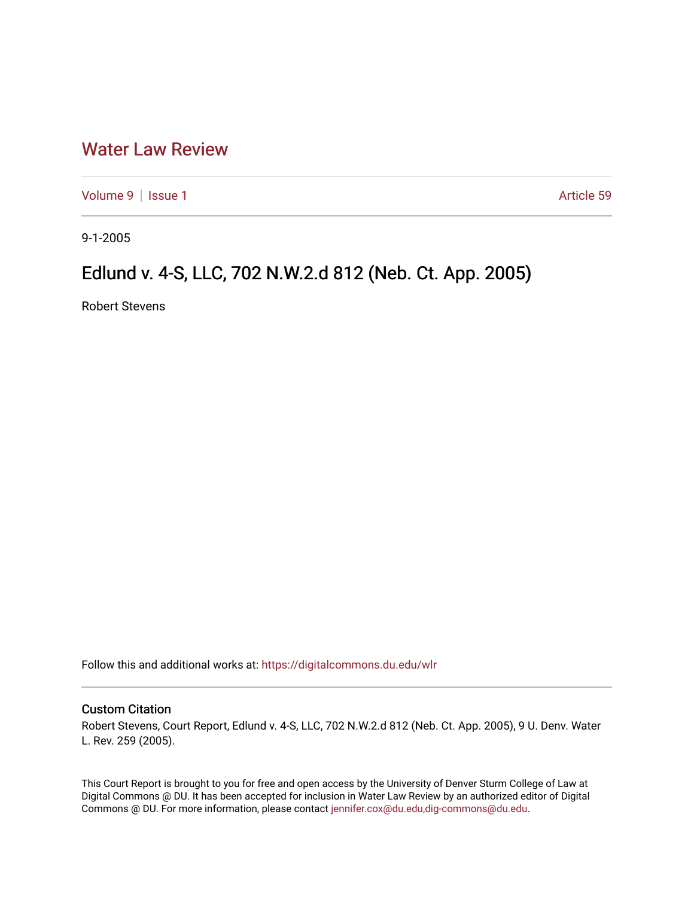## [Water Law Review](https://digitalcommons.du.edu/wlr)

[Volume 9](https://digitalcommons.du.edu/wlr/vol9) | [Issue 1](https://digitalcommons.du.edu/wlr/vol9/iss1) Article 59

9-1-2005

## Edlund v. 4-S, LLC, 702 N.W.2.d 812 (Neb. Ct. App. 2005)

Robert Stevens

Follow this and additional works at: [https://digitalcommons.du.edu/wlr](https://digitalcommons.du.edu/wlr?utm_source=digitalcommons.du.edu%2Fwlr%2Fvol9%2Fiss1%2F59&utm_medium=PDF&utm_campaign=PDFCoverPages) 

## Custom Citation

Robert Stevens, Court Report, Edlund v. 4-S, LLC, 702 N.W.2.d 812 (Neb. Ct. App. 2005), 9 U. Denv. Water L. Rev. 259 (2005).

This Court Report is brought to you for free and open access by the University of Denver Sturm College of Law at Digital Commons @ DU. It has been accepted for inclusion in Water Law Review by an authorized editor of Digital Commons @ DU. For more information, please contact [jennifer.cox@du.edu,dig-commons@du.edu.](mailto:jennifer.cox@du.edu,dig-commons@du.edu)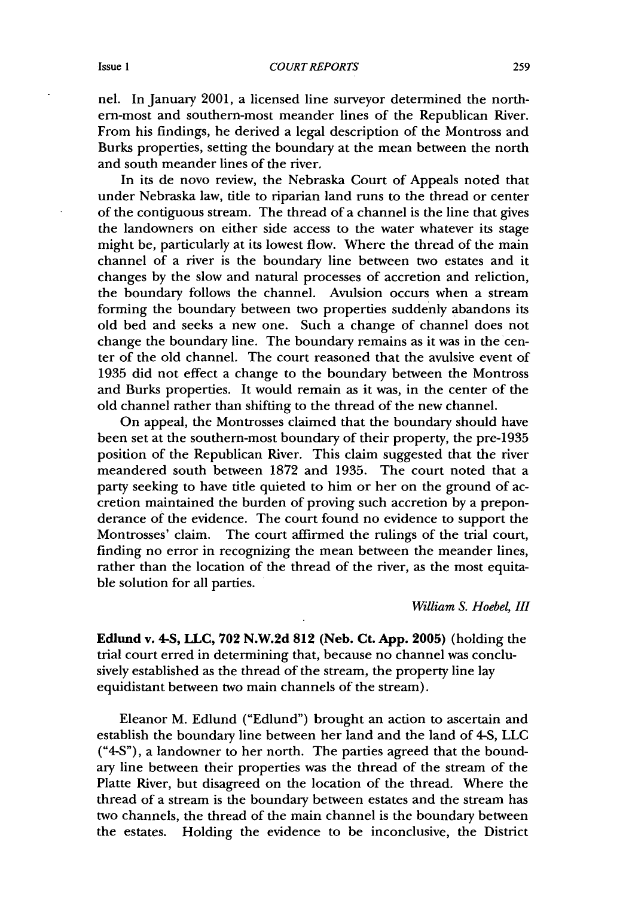nel. In January 2001, a licensed line surveyor determined the northern-most and southern-most meander lines of the Republican River. From his findings, he derived a legal description of the Montross and Burks properties, setting the boundary at the mean between the north and south meander lines of the river.

In its de novo review, the Nebraska Court of Appeals noted that under Nebraska law, title to riparian land runs to the thread or center of the contiguous stream. The thread of a channel is the line that gives the landowners on either side access to the water whatever its stage might be, particularly at its lowest flow. Where the thread of the main channel of a river is the boundary line between two estates and it changes by the slow and natural processes of accretion and reliction, the boundary follows the channel. Avulsion occurs when a stream forming the boundary between two properties suddenly abandons its old bed and seeks a new one. Such a change of channel does not change the boundary line. The boundary remains as it was in the center of the old channel. The court reasoned that the avulsive event of 1935 did not effect a change to the boundary between the Montross and Burks properties. It would remain as it was, in the center of the old channel rather than shifting to the thread of the new channel.

On appeal, the Montrosses claimed that the boundary should have been set at the southern-most boundary of their property, the pre-1935 position of the Republican River. This claim suggested that the river meandered south between 1872 and 1935. The court noted that a party seeking to have title quieted to him or her on the ground of accretion maintained the burden of proving such accretion by a preponderance of the evidence. The court found no evidence to support the Montrosses' claim. The court affirmed the rulings of the trial court, finding no error in recognizing the mean between the meander lines, rather than the location of the thread of the river, as the most equitable solution for all parties.

*William S. Hoebel, III*

**Edlund v. 4-S, LLC, 702 N.W.2d 812 (Neb. Ct. App. 2005) (holding the** trial court erred in determining that, because no channel was conclusively established as the thread of the stream, the property line lay equidistant between two main channels of the stream).

Eleanor M. Edlund ("Edlund") brought an action to ascertain and establish the boundary line between her land and the land of 4-S, **LLC** ("4-S"), a landowner to her north. The parties agreed that the boundary line between their properties was the thread of the stream of the Platte River, but disagreed on the location of the thread. Where the thread of a stream is the boundary between estates and the stream has two channels, the thread of the main channel is the boundary between the estates. Holding the evidence to be inconclusive, the District